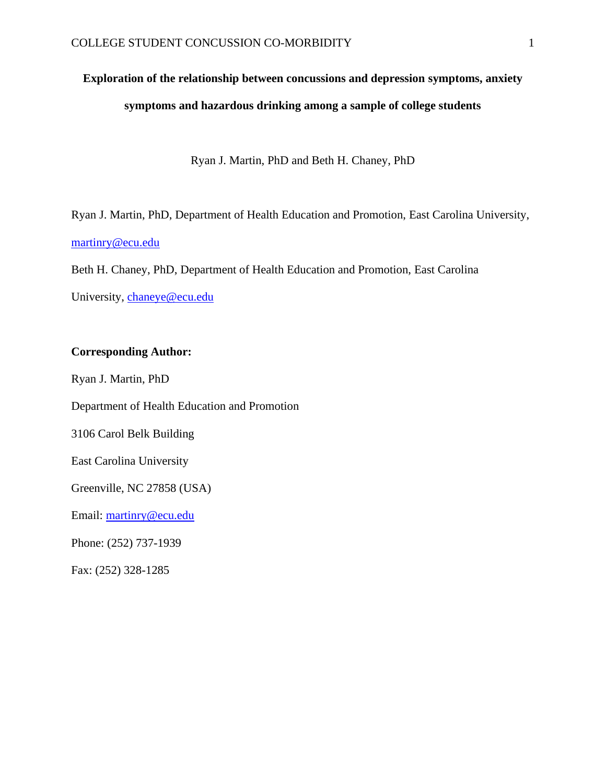# **Exploration of the relationship between concussions and depression symptoms, anxiety symptoms and hazardous drinking among a sample of college students**

Ryan J. Martin, PhD and Beth H. Chaney, PhD

Ryan J. Martin, PhD, Department of Health Education and Promotion, East Carolina University, [martinry@ecu.edu](mailto:martinry@ecu.edu)

Beth H. Chaney, PhD, Department of Health Education and Promotion, East Carolina University, [chaneye@ecu.edu](mailto:chaneye@ecu.edu)

## **Corresponding Author:**

Ryan J. Martin, PhD

Department of Health Education and Promotion 3106 Carol Belk Building

East Carolina University

Greenville, NC 27858 (USA)

Email: [martinry@ecu.edu](mailto:martinry@ecu.edu)

Phone: (252) 737-1939

Fax: (252) 328-1285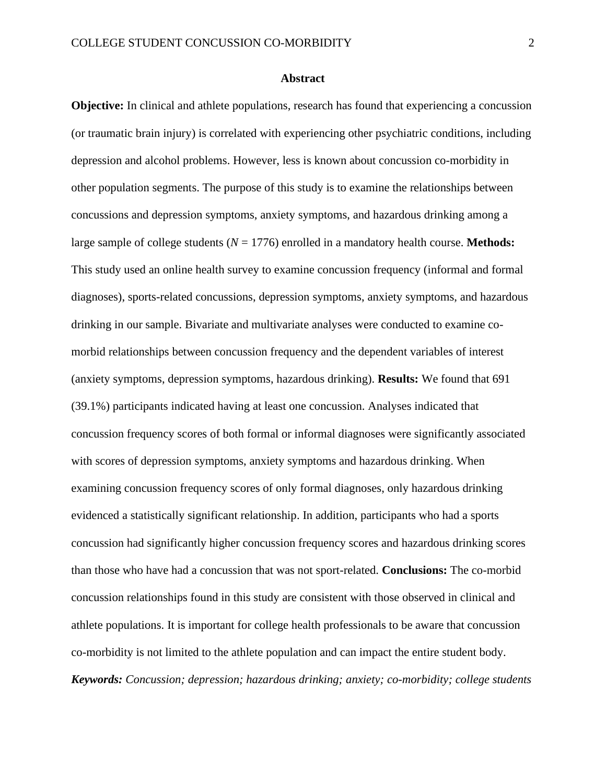## **Abstract**

**Objective:** In clinical and athlete populations, research has found that experiencing a concussion (or traumatic brain injury) is correlated with experiencing other psychiatric conditions, including depression and alcohol problems. However, less is known about concussion co-morbidity in other population segments. The purpose of this study is to examine the relationships between concussions and depression symptoms, anxiety symptoms, and hazardous drinking among a large sample of college students (*N* = 1776) enrolled in a mandatory health course. **Methods:**  This study used an online health survey to examine concussion frequency (informal and formal diagnoses), sports-related concussions, depression symptoms, anxiety symptoms, and hazardous drinking in our sample. Bivariate and multivariate analyses were conducted to examine comorbid relationships between concussion frequency and the dependent variables of interest (anxiety symptoms, depression symptoms, hazardous drinking). **Results:** We found that 691 (39.1%) participants indicated having at least one concussion. Analyses indicated that concussion frequency scores of both formal or informal diagnoses were significantly associated with scores of depression symptoms, anxiety symptoms and hazardous drinking. When examining concussion frequency scores of only formal diagnoses, only hazardous drinking evidenced a statistically significant relationship. In addition, participants who had a sports concussion had significantly higher concussion frequency scores and hazardous drinking scores than those who have had a concussion that was not sport-related. **Conclusions:** The co-morbid concussion relationships found in this study are consistent with those observed in clinical and athlete populations. It is important for college health professionals to be aware that concussion co-morbidity is not limited to the athlete population and can impact the entire student body. *Keywords: Concussion; depression; hazardous drinking; anxiety; co-morbidity; college students*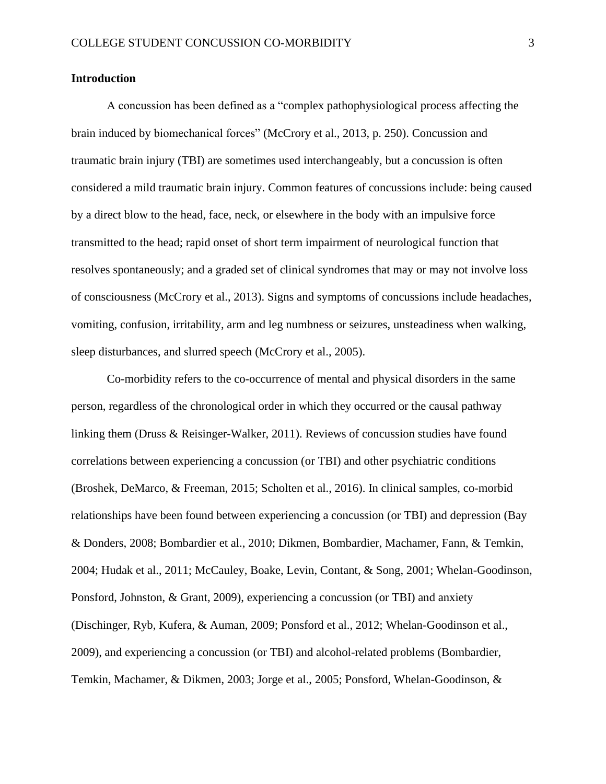## **Introduction**

A concussion has been defined as a "complex pathophysiological process affecting the brain induced by biomechanical forces" [\(McCrory et al., 2013, p. 250\)](#page-17-0). Concussion and traumatic brain injury (TBI) are sometimes used interchangeably, but a concussion is often considered a mild traumatic brain injury. Common features of concussions include: being caused by a direct blow to the head, face, neck, or elsewhere in the body with an impulsive force transmitted to the head; rapid onset of short term impairment of neurological function that resolves spontaneously; and a graded set of clinical syndromes that may or may not involve loss of consciousness [\(McCrory et al., 2013\)](#page-17-0). Signs and symptoms of concussions include headaches, vomiting, confusion, irritability, arm and leg numbness or seizures, unsteadiness when walking, sleep disturbances, and slurred speech [\(McCrory et al., 2005\)](#page-17-1).

Co-morbidity refers to the co-occurrence of mental and physical disorders in the same person, regardless of the chronological order in which they occurred or the causal pathway linking them [\(Druss & Reisinger-Walker, 2011\)](#page-16-0). Reviews of concussion studies have found correlations between experiencing a concussion (or TBI) and other psychiatric conditions [\(Broshek, DeMarco, & Freeman, 2015;](#page-15-0) [Scholten et al., 2016\)](#page-18-0). In clinical samples, co-morbid relationships have been found between experiencing a concussion (or TBI) and depression (Bay & Donders, 2008; [Bombardier et al., 2010;](#page-15-1) [Dikmen, Bombardier, Machamer, Fann, & Temkin,](#page-15-2)  [2004;](#page-15-2) [Hudak et al., 2011;](#page-16-1) [McCauley, Boake, Levin, Contant, & Song, 2001;](#page-17-2) [Whelan-Goodinson,](#page-19-0)  [Ponsford, Johnston, & Grant, 2009\)](#page-19-0), experiencing a concussion (or TBI) and anxiety [\(Dischinger, Ryb, Kufera, & Auman, 2009;](#page-16-2) [Ponsford et al., 2012;](#page-17-3) [Whelan-Goodinson et al.,](#page-19-0)  [2009\)](#page-19-0), and experiencing a concussion (or TBI) and alcohol-related problems [\(Bombardier,](#page-15-3)  [Temkin, Machamer, & Dikmen, 2003;](#page-15-3) [Jorge et al., 2005;](#page-16-3) [Ponsford, Whelan-Goodinson, &](#page-17-4)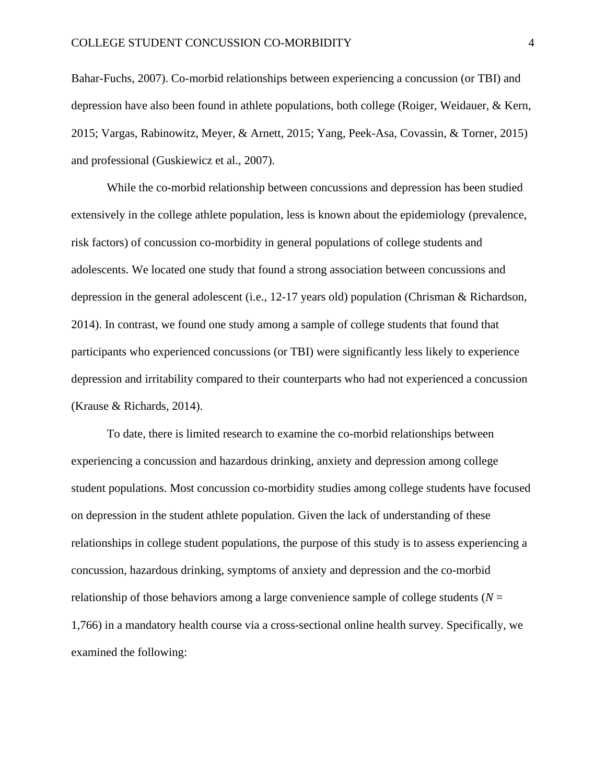[Bahar-Fuchs, 2007\)](#page-17-4). Co-morbid relationships between experiencing a concussion (or TBI) and depression have also been found in athlete populations, both college [\(Roiger, Weidauer, & Kern,](#page-18-1)  [2015;](#page-18-1) [Vargas, Rabinowitz, Meyer, & Arnett, 2015;](#page-18-2) [Yang, Peek-Asa, Covassin, & Torner, 2015\)](#page-19-1) and professional [\(Guskiewicz et al., 2007\)](#page-16-4).

While the co-morbid relationship between concussions and depression has been studied extensively in the college athlete population, less is known about the epidemiology (prevalence, risk factors) of concussion co-morbidity in general populations of college students and adolescents. We located one study that found a strong association between concussions and depression in the general adolescent (i.e., 12-17 years old) population [\(Chrisman & Richardson,](#page-15-4)  [2014\)](#page-15-4). In contrast, we found one study among a sample of college students that found that participants who experienced concussions (or TBI) were significantly less likely to experience depression and irritability compared to their counterparts who had not experienced a concussion [\(Krause & Richards, 2014\)](#page-16-5).

To date, there is limited research to examine the co-morbid relationships between experiencing a concussion and hazardous drinking, anxiety and depression among college student populations. Most concussion co-morbidity studies among college students have focused on depression in the student athlete population. Given the lack of understanding of these relationships in college student populations, the purpose of this study is to assess experiencing a concussion, hazardous drinking, symptoms of anxiety and depression and the co-morbid relationship of those behaviors among a large convenience sample of college students ( $N =$ 1,766) in a mandatory health course via a cross-sectional online health survey. Specifically, we examined the following: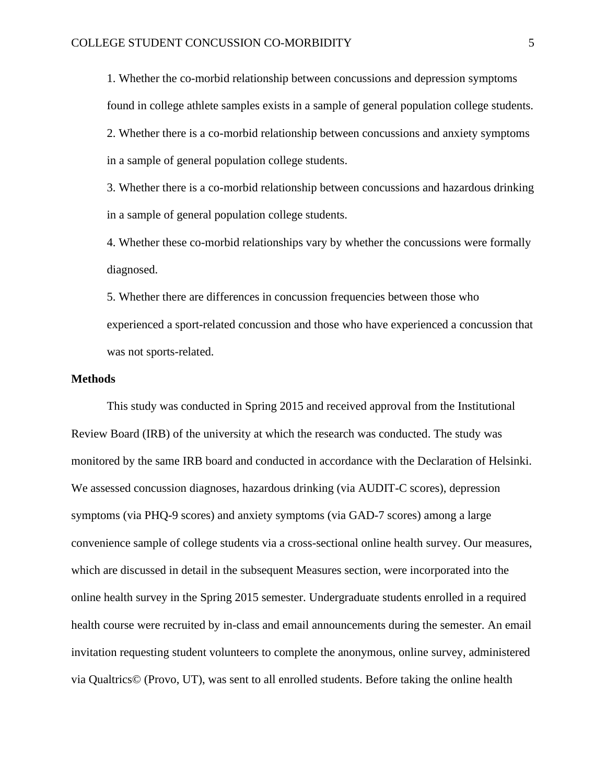1. Whether the co-morbid relationship between concussions and depression symptoms found in college athlete samples exists in a sample of general population college students. 2. Whether there is a co-morbid relationship between concussions and anxiety symptoms in a sample of general population college students.

3. Whether there is a co-morbid relationship between concussions and hazardous drinking in a sample of general population college students.

4. Whether these co-morbid relationships vary by whether the concussions were formally diagnosed.

5. Whether there are differences in concussion frequencies between those who experienced a sport-related concussion and those who have experienced a concussion that was not sports-related.

## **Methods**

This study was conducted in Spring 2015 and received approval from the Institutional Review Board (IRB) of the university at which the research was conducted. The study was monitored by the same IRB board and conducted in accordance with the Declaration of Helsinki. We assessed concussion diagnoses, hazardous drinking (via AUDIT-C scores), depression symptoms (via PHQ-9 scores) and anxiety symptoms (via GAD-7 scores) among a large convenience sample of college students via a cross-sectional online health survey. Our measures, which are discussed in detail in the subsequent Measures section, were incorporated into the online health survey in the Spring 2015 semester. Undergraduate students enrolled in a required health course were recruited by in-class and email announcements during the semester. An email invitation requesting student volunteers to complete the anonymous, online survey, administered via Qualtrics© (Provo, UT), was sent to all enrolled students. Before taking the online health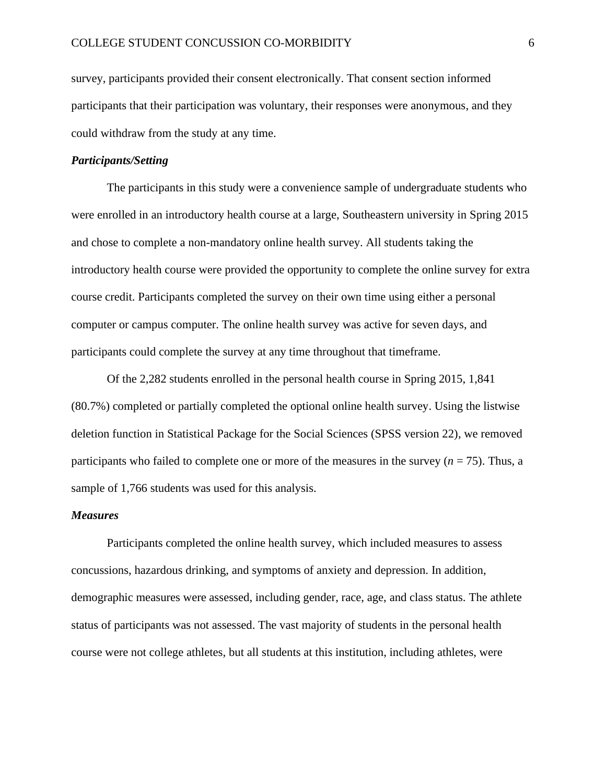survey, participants provided their consent electronically. That consent section informed participants that their participation was voluntary, their responses were anonymous, and they could withdraw from the study at any time.

## *Participants/Setting*

The participants in this study were a convenience sample of undergraduate students who were enrolled in an introductory health course at a large, Southeastern university in Spring 2015 and chose to complete a non-mandatory online health survey. All students taking the introductory health course were provided the opportunity to complete the online survey for extra course credit. Participants completed the survey on their own time using either a personal computer or campus computer. The online health survey was active for seven days, and participants could complete the survey at any time throughout that timeframe.

Of the 2,282 students enrolled in the personal health course in Spring 2015, 1,841 (80.7%) completed or partially completed the optional online health survey. Using the listwise deletion function in Statistical Package for the Social Sciences (SPSS version 22), we removed participants who failed to complete one or more of the measures in the survey (*n* = 75). Thus, a sample of 1,766 students was used for this analysis.

### *Measures*

Participants completed the online health survey, which included measures to assess concussions, hazardous drinking, and symptoms of anxiety and depression. In addition, demographic measures were assessed, including gender, race, age, and class status. The athlete status of participants was not assessed. The vast majority of students in the personal health course were not college athletes, but all students at this institution, including athletes, were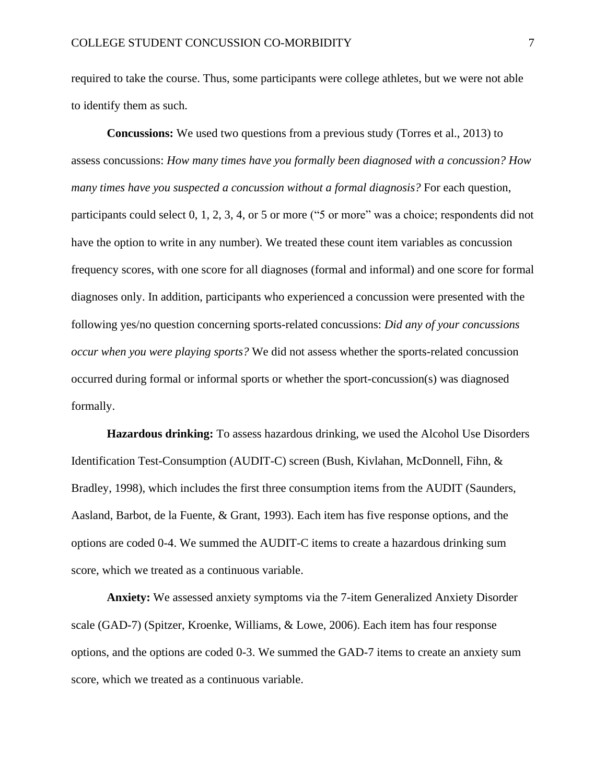required to take the course. Thus, some participants were college athletes, but we were not able to identify them as such.

**Concussions:** We used two questions from a previous study [\(Torres et al., 2013\)](#page-18-3) to assess concussions: *How many times have you formally been diagnosed with a concussion? How many times have you suspected a concussion without a formal diagnosis?* For each question, participants could select 0, 1, 2, 3, 4, or 5 or more ("5 or more" was a choice; respondents did not have the option to write in any number). We treated these count item variables as concussion frequency scores, with one score for all diagnoses (formal and informal) and one score for formal diagnoses only. In addition, participants who experienced a concussion were presented with the following yes/no question concerning sports-related concussions: *Did any of your concussions occur when you were playing sports?* We did not assess whether the sports-related concussion occurred during formal or informal sports or whether the sport-concussion(s) was diagnosed formally.

**Hazardous drinking:** To assess hazardous drinking, we used the Alcohol Use Disorders Identification Test-Consumption (AUDIT-C) screen [\(Bush, Kivlahan, McDonnell, Fihn, &](#page-15-5)  [Bradley, 1998\)](#page-15-5), which includes the first three consumption items from the AUDIT [\(Saunders,](#page-18-4)  [Aasland, Barbot, de la Fuente, & Grant, 1993\)](#page-18-4). Each item has five response options, and the options are coded 0-4. We summed the AUDIT-C items to create a hazardous drinking sum score, which we treated as a continuous variable.

**Anxiety:** We assessed anxiety symptoms via the 7-item Generalized Anxiety Disorder scale (GAD-7) [\(Spitzer, Kroenke, Williams, & Lowe, 2006\)](#page-18-5). Each item has four response options, and the options are coded 0-3. We summed the GAD-7 items to create an anxiety sum score, which we treated as a continuous variable.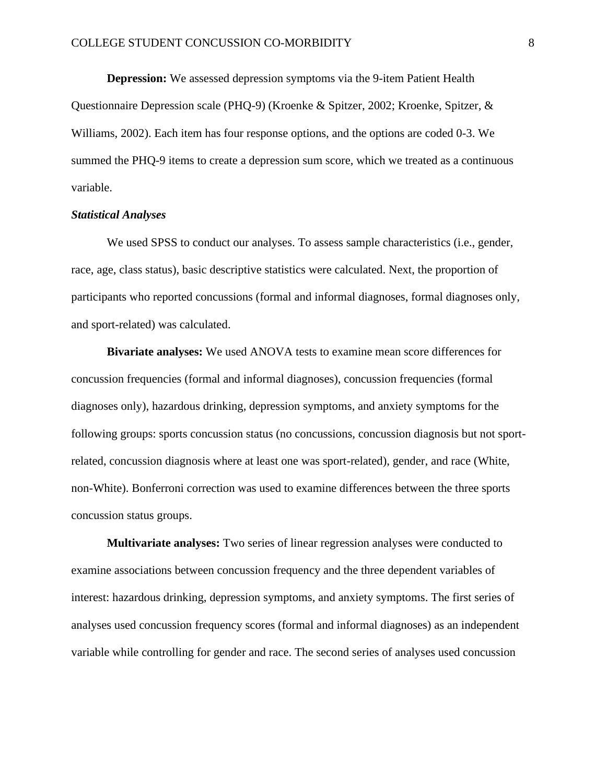**Depression:** We assessed depression symptoms via the 9-item Patient Health Questionnaire Depression scale (PHQ-9) [\(Kroenke & Spitzer, 2002;](#page-17-5) [Kroenke, Spitzer, &](#page-17-6)  [Williams, 2002\)](#page-17-6). Each item has four response options, and the options are coded 0-3. We summed the PHQ-9 items to create a depression sum score, which we treated as a continuous variable.

#### *Statistical Analyses*

We used SPSS to conduct our analyses. To assess sample characteristics (i.e., gender, race, age, class status), basic descriptive statistics were calculated. Next, the proportion of participants who reported concussions (formal and informal diagnoses, formal diagnoses only, and sport-related) was calculated.

**Bivariate analyses:** We used ANOVA tests to examine mean score differences for concussion frequencies (formal and informal diagnoses), concussion frequencies (formal diagnoses only), hazardous drinking, depression symptoms, and anxiety symptoms for the following groups: sports concussion status (no concussions, concussion diagnosis but not sportrelated, concussion diagnosis where at least one was sport-related), gender, and race (White, non-White). Bonferroni correction was used to examine differences between the three sports concussion status groups.

**Multivariate analyses:** Two series of linear regression analyses were conducted to examine associations between concussion frequency and the three dependent variables of interest: hazardous drinking, depression symptoms, and anxiety symptoms. The first series of analyses used concussion frequency scores (formal and informal diagnoses) as an independent variable while controlling for gender and race. The second series of analyses used concussion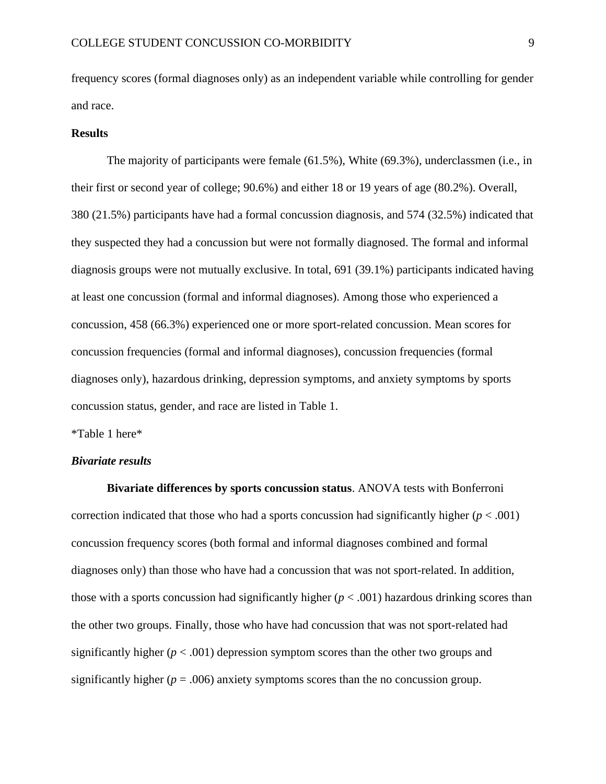frequency scores (formal diagnoses only) as an independent variable while controlling for gender and race.

#### **Results**

The majority of participants were female (61.5%), White (69.3%), underclassmen (i.e., in their first or second year of college; 90.6%) and either 18 or 19 years of age (80.2%). Overall, 380 (21.5%) participants have had a formal concussion diagnosis, and 574 (32.5%) indicated that they suspected they had a concussion but were not formally diagnosed. The formal and informal diagnosis groups were not mutually exclusive. In total, 691 (39.1%) participants indicated having at least one concussion (formal and informal diagnoses). Among those who experienced a concussion, 458 (66.3%) experienced one or more sport-related concussion. Mean scores for concussion frequencies (formal and informal diagnoses), concussion frequencies (formal diagnoses only), hazardous drinking, depression symptoms, and anxiety symptoms by sports concussion status, gender, and race are listed in Table 1.

\*Table 1 here\*

## *Bivariate results*

**Bivariate differences by sports concussion status**. ANOVA tests with Bonferroni correction indicated that those who had a sports concussion had significantly higher  $(p < .001)$ concussion frequency scores (both formal and informal diagnoses combined and formal diagnoses only) than those who have had a concussion that was not sport-related. In addition, those with a sports concussion had significantly higher  $(p < .001)$  hazardous drinking scores than the other two groups. Finally, those who have had concussion that was not sport-related had significantly higher  $(p < .001)$  depression symptom scores than the other two groups and significantly higher ( $p = .006$ ) anxiety symptoms scores than the no concussion group.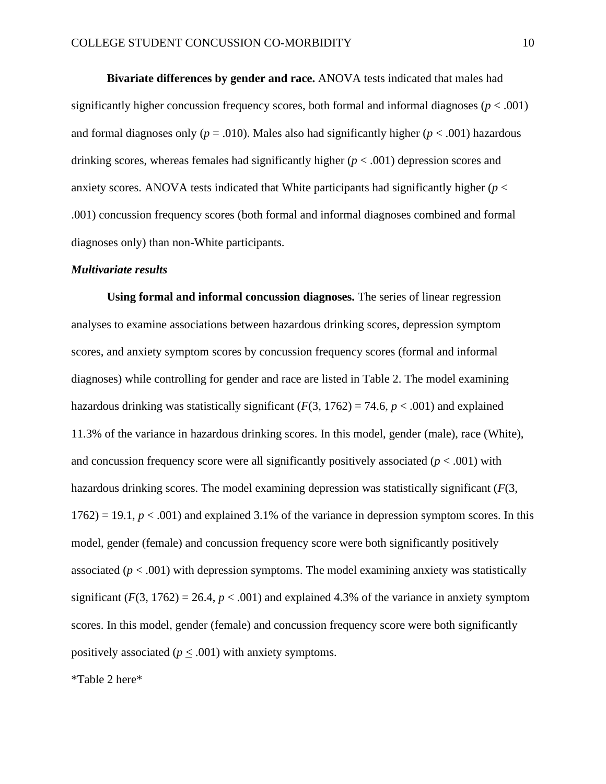**Bivariate differences by gender and race.** ANOVA tests indicated that males had significantly higher concussion frequency scores, both formal and informal diagnoses ( $p < .001$ ) and formal diagnoses only ( $p = .010$ ). Males also had significantly higher ( $p < .001$ ) hazardous drinking scores, whereas females had significantly higher (*p* < .001) depression scores and anxiety scores. ANOVA tests indicated that White participants had significantly higher (*p* < .001) concussion frequency scores (both formal and informal diagnoses combined and formal diagnoses only) than non-White participants.

#### *Multivariate results*

**Using formal and informal concussion diagnoses.** The series of linear regression analyses to examine associations between hazardous drinking scores, depression symptom scores, and anxiety symptom scores by concussion frequency scores (formal and informal diagnoses) while controlling for gender and race are listed in Table 2. The model examining hazardous drinking was statistically significant  $(F(3, 1762) = 74.6, p < .001)$  and explained 11.3% of the variance in hazardous drinking scores. In this model, gender (male), race (White), and concussion frequency score were all significantly positively associated  $(p < .001)$  with hazardous drinking scores. The model examining depression was statistically significant (*F*(3,  $1762$ ) = 19.1,  $p < .001$ ) and explained 3.1% of the variance in depression symptom scores. In this model, gender (female) and concussion frequency score were both significantly positively associated  $(p < .001)$  with depression symptoms. The model examining anxiety was statistically significant  $(F(3, 1762) = 26.4, p < .001)$  and explained 4.3% of the variance in anxiety symptom scores. In this model, gender (female) and concussion frequency score were both significantly positively associated ( $p \leq .001$ ) with anxiety symptoms.

\*Table 2 here\*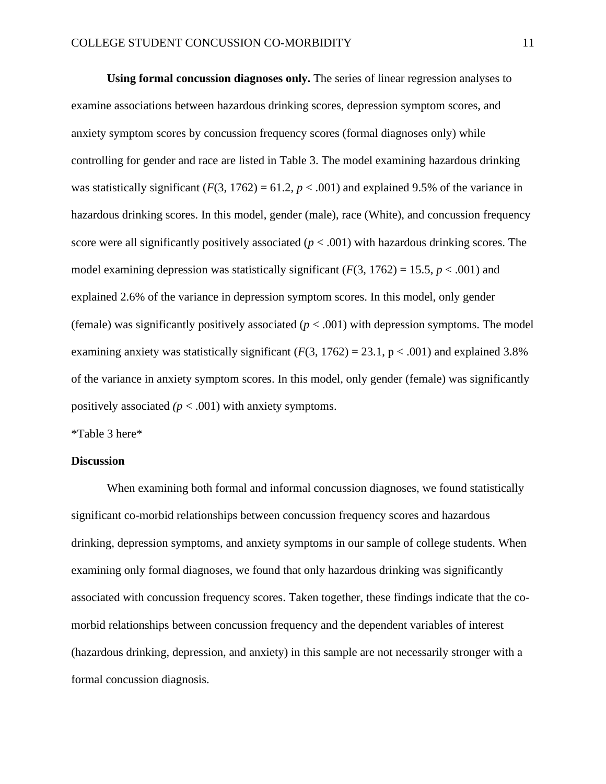**Using formal concussion diagnoses only.** The series of linear regression analyses to examine associations between hazardous drinking scores, depression symptom scores, and anxiety symptom scores by concussion frequency scores (formal diagnoses only) while controlling for gender and race are listed in Table 3. The model examining hazardous drinking was statistically significant  $(F(3, 1762) = 61.2, p < .001)$  and explained 9.5% of the variance in hazardous drinking scores. In this model, gender (male), race (White), and concussion frequency score were all significantly positively associated (*p* < .001) with hazardous drinking scores. The model examining depression was statistically significant  $(F(3, 1762) = 15.5, p < .001)$  and explained 2.6% of the variance in depression symptom scores. In this model, only gender (female) was significantly positively associated  $(p < .001)$  with depression symptoms. The model examining anxiety was statistically significant  $(F(3, 1762) = 23.1, p < .001)$  and explained 3.8% of the variance in anxiety symptom scores. In this model, only gender (female) was significantly positively associated  $(p < .001)$  with anxiety symptoms.

\*Table 3 here\*

#### **Discussion**

When examining both formal and informal concussion diagnoses, we found statistically significant co-morbid relationships between concussion frequency scores and hazardous drinking, depression symptoms, and anxiety symptoms in our sample of college students. When examining only formal diagnoses, we found that only hazardous drinking was significantly associated with concussion frequency scores. Taken together, these findings indicate that the comorbid relationships between concussion frequency and the dependent variables of interest (hazardous drinking, depression, and anxiety) in this sample are not necessarily stronger with a formal concussion diagnosis.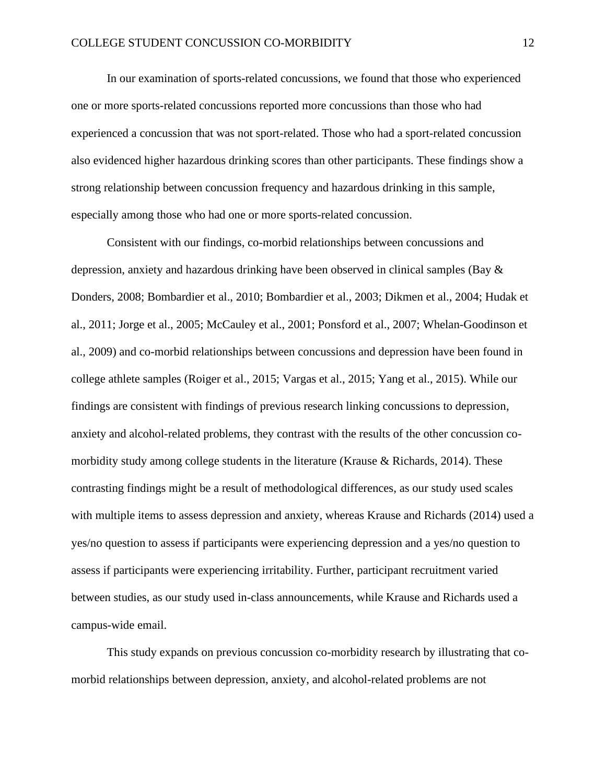In our examination of sports-related concussions, we found that those who experienced one or more sports-related concussions reported more concussions than those who had experienced a concussion that was not sport-related. Those who had a sport-related concussion also evidenced higher hazardous drinking scores than other participants. These findings show a strong relationship between concussion frequency and hazardous drinking in this sample, especially among those who had one or more sports-related concussion.

Consistent with our findings, co-morbid relationships between concussions and depression, anxiety and hazardous drinking have been observed in clinical samples (Bay & Donders, 2008; [Bombardier et al., 2010;](#page-15-1) [Bombardier et al., 2003;](#page-15-3) [Dikmen et al., 2004;](#page-15-2) [Hudak et](#page-16-1)  [al., 2011;](#page-16-1) [Jorge et al., 2005;](#page-16-3) [McCauley et al., 2001;](#page-17-2) [Ponsford et al., 2007;](#page-17-4) [Whelan-Goodinson et](#page-19-0)  [al., 2009\)](#page-19-0) and co-morbid relationships between concussions and depression have been found in college athlete samples [\(Roiger et al., 2015;](#page-18-1) [Vargas et al., 2015;](#page-18-2) [Yang et al., 2015\)](#page-19-1). While our findings are consistent with findings of previous research linking concussions to depression, anxiety and alcohol-related problems, they contrast with the results of the other concussion comorbidity study among college students in the literature [\(Krause & Richards, 2014\)](#page-16-5). These contrasting findings might be a result of methodological differences, as our study used scales with multiple items to assess depression and anxiety, whereas Krause and Richards (2014) used a yes/no question to assess if participants were experiencing depression and a yes/no question to assess if participants were experiencing irritability. Further, participant recruitment varied between studies, as our study used in-class announcements, while Krause and Richards used a campus-wide email.

This study expands on previous concussion co-morbidity research by illustrating that comorbid relationships between depression, anxiety, and alcohol-related problems are not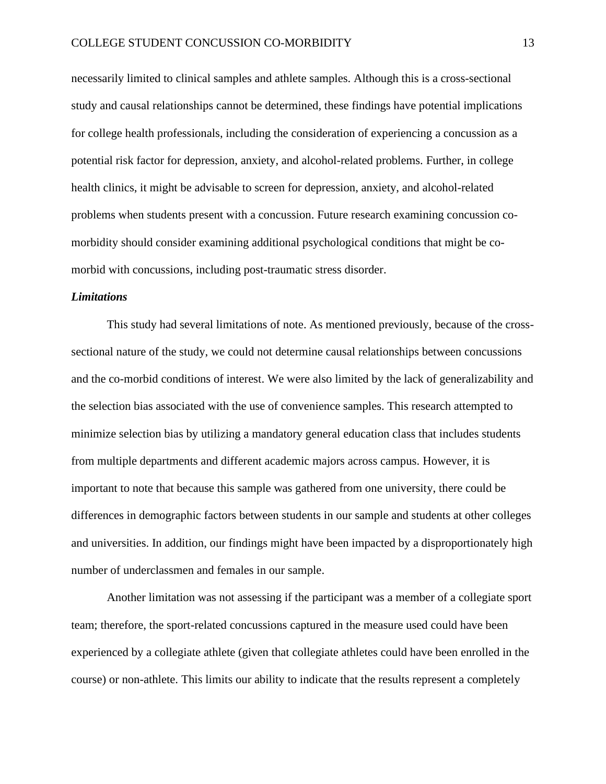necessarily limited to clinical samples and athlete samples. Although this is a cross-sectional study and causal relationships cannot be determined, these findings have potential implications for college health professionals, including the consideration of experiencing a concussion as a potential risk factor for depression, anxiety, and alcohol-related problems. Further, in college health clinics, it might be advisable to screen for depression, anxiety, and alcohol-related problems when students present with a concussion. Future research examining concussion comorbidity should consider examining additional psychological conditions that might be comorbid with concussions, including post-traumatic stress disorder.

### *Limitations*

This study had several limitations of note. As mentioned previously, because of the crosssectional nature of the study, we could not determine causal relationships between concussions and the co-morbid conditions of interest. We were also limited by the lack of generalizability and the selection bias associated with the use of convenience samples. This research attempted to minimize selection bias by utilizing a mandatory general education class that includes students from multiple departments and different academic majors across campus. However, it is important to note that because this sample was gathered from one university, there could be differences in demographic factors between students in our sample and students at other colleges and universities. In addition, our findings might have been impacted by a disproportionately high number of underclassmen and females in our sample.

Another limitation was not assessing if the participant was a member of a collegiate sport team; therefore, the sport-related concussions captured in the measure used could have been experienced by a collegiate athlete (given that collegiate athletes could have been enrolled in the course) or non-athlete. This limits our ability to indicate that the results represent a completely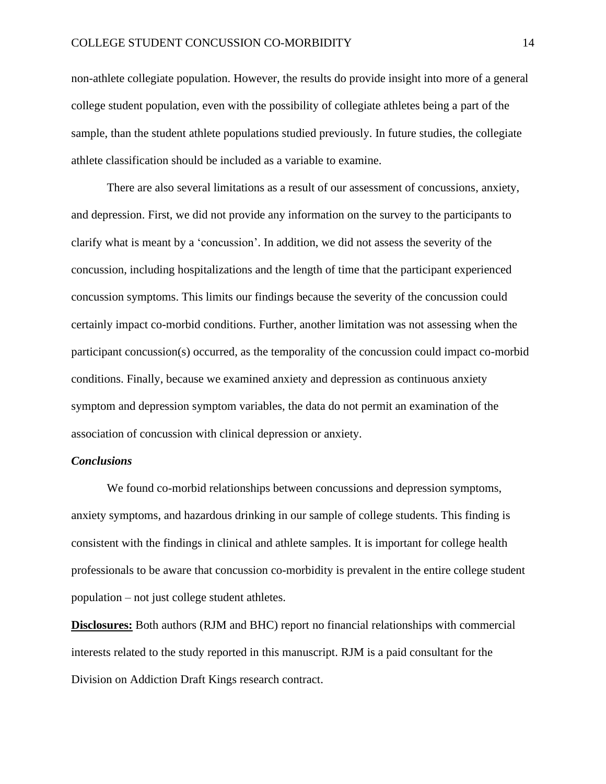non-athlete collegiate population. However, the results do provide insight into more of a general college student population, even with the possibility of collegiate athletes being a part of the sample, than the student athlete populations studied previously. In future studies, the collegiate athlete classification should be included as a variable to examine.

There are also several limitations as a result of our assessment of concussions, anxiety, and depression. First, we did not provide any information on the survey to the participants to clarify what is meant by a 'concussion'. In addition, we did not assess the severity of the concussion, including hospitalizations and the length of time that the participant experienced concussion symptoms. This limits our findings because the severity of the concussion could certainly impact co-morbid conditions. Further, another limitation was not assessing when the participant concussion(s) occurred, as the temporality of the concussion could impact co-morbid conditions. Finally, because we examined anxiety and depression as continuous anxiety symptom and depression symptom variables, the data do not permit an examination of the association of concussion with clinical depression or anxiety.

## *Conclusions*

We found co-morbid relationships between concussions and depression symptoms, anxiety symptoms, and hazardous drinking in our sample of college students. This finding is consistent with the findings in clinical and athlete samples. It is important for college health professionals to be aware that concussion co-morbidity is prevalent in the entire college student population – not just college student athletes.

**Disclosures:** Both authors (RJM and BHC) report no financial relationships with commercial interests related to the study reported in this manuscript. RJM is a paid consultant for the Division on Addiction Draft Kings research contract.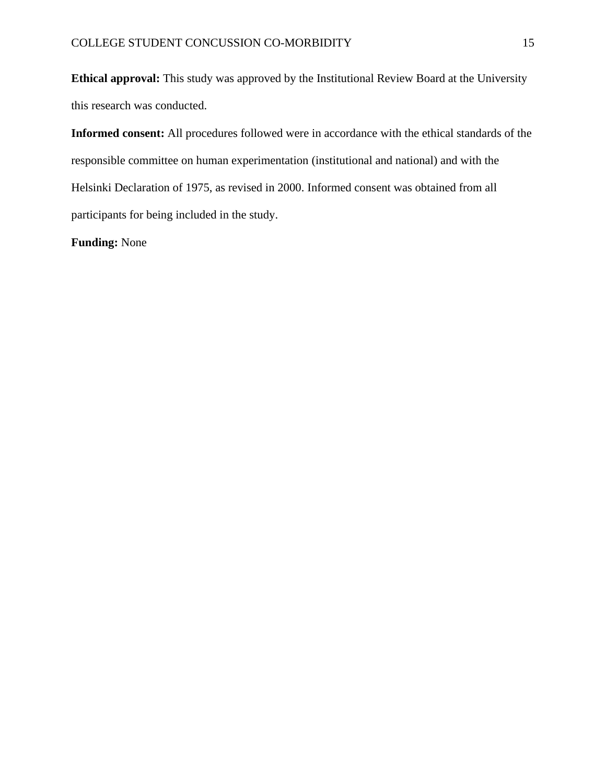**Ethical approval:** This study was approved by the Institutional Review Board at the University this research was conducted.

**Informed consent:** All procedures followed were in accordance with the ethical standards of the responsible committee on human experimentation (institutional and national) and with the Helsinki Declaration of 1975, as revised in 2000. Informed consent was obtained from all participants for being included in the study.

**Funding:** None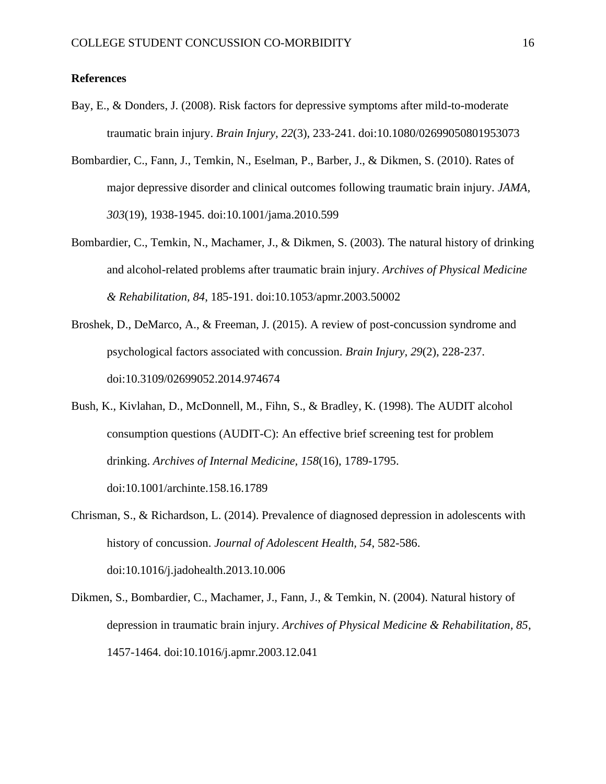## **References**

- Bay, E., & Donders, J. (2008). Risk factors for depressive symptoms after mild-to-moderate traumatic brain injury. *Brain Injury, 22*(3), 233-241. doi:10.1080/02699050801953073
- <span id="page-15-1"></span>Bombardier, C., Fann, J., Temkin, N., Eselman, P., Barber, J., & Dikmen, S. (2010). Rates of major depressive disorder and clinical outcomes following traumatic brain injury. *JAMA, 303*(19), 1938-1945. doi:10.1001/jama.2010.599
- <span id="page-15-3"></span>Bombardier, C., Temkin, N., Machamer, J., & Dikmen, S. (2003). The natural history of drinking and alcohol-related problems after traumatic brain injury. *Archives of Physical Medicine & Rehabilitation, 84*, 185-191. doi:10.1053/apmr.2003.50002
- <span id="page-15-0"></span>Broshek, D., DeMarco, A., & Freeman, J. (2015). A review of post-concussion syndrome and psychological factors associated with concussion. *Brain Injury, 29*(2), 228-237. doi:10.3109/02699052.2014.974674
- <span id="page-15-5"></span>Bush, K., Kivlahan, D., McDonnell, M., Fihn, S., & Bradley, K. (1998). The AUDIT alcohol consumption questions (AUDIT-C): An effective brief screening test for problem drinking. *Archives of Internal Medicine, 158*(16), 1789-1795. doi:10.1001/archinte.158.16.1789
- <span id="page-15-4"></span>Chrisman, S., & Richardson, L. (2014). Prevalence of diagnosed depression in adolescents with history of concussion. *Journal of Adolescent Health, 54*, 582-586. doi:10.1016/j.jadohealth.2013.10.006
- <span id="page-15-2"></span>Dikmen, S., Bombardier, C., Machamer, J., Fann, J., & Temkin, N. (2004). Natural history of depression in traumatic brain injury. *Archives of Physical Medicine & Rehabilitation, 85*, 1457-1464. doi:10.1016/j.apmr.2003.12.041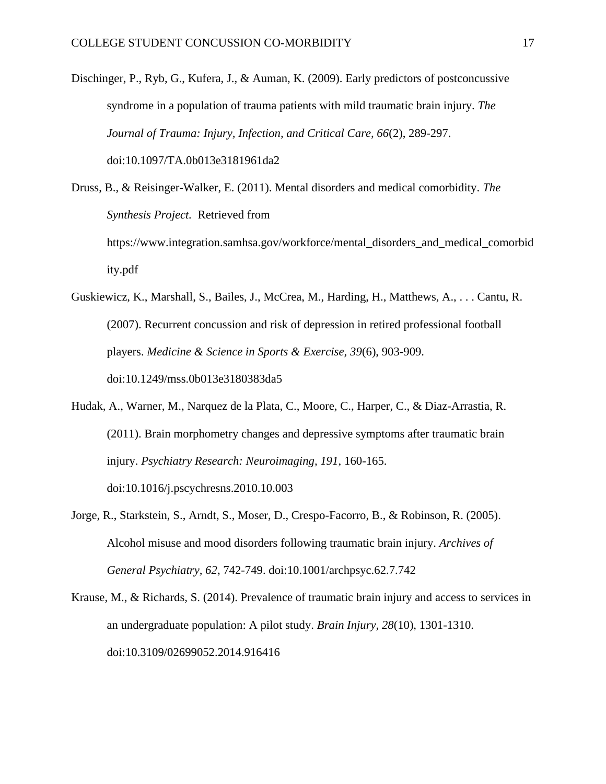<span id="page-16-2"></span>Dischinger, P., Ryb, G., Kufera, J., & Auman, K. (2009). Early predictors of postconcussive syndrome in a population of trauma patients with mild traumatic brain injury. *The Journal of Trauma: Injury, Infection, and Critical Care, 66*(2), 289-297. doi:10.1097/TA.0b013e3181961da2

<span id="page-16-0"></span>Druss, B., & Reisinger-Walker, E. (2011). Mental disorders and medical comorbidity. *The Synthesis Project.* Retrieved from https://www.integration.samhsa.gov/workforce/mental\_disorders\_and\_medical\_comorbid ity.pdf

- <span id="page-16-4"></span>Guskiewicz, K., Marshall, S., Bailes, J., McCrea, M., Harding, H., Matthews, A., . . . Cantu, R. (2007). Recurrent concussion and risk of depression in retired professional football players. *Medicine & Science in Sports & Exercise, 39*(6), 903-909. doi:10.1249/mss.0b013e3180383da5
- <span id="page-16-1"></span>Hudak, A., Warner, M., Narquez de la Plata, C., Moore, C., Harper, C., & Diaz-Arrastia, R. (2011). Brain morphometry changes and depressive symptoms after traumatic brain injury. *Psychiatry Research: Neuroimaging, 191*, 160-165. doi:10.1016/j.pscychresns.2010.10.003
- <span id="page-16-3"></span>Jorge, R., Starkstein, S., Arndt, S., Moser, D., Crespo-Facorro, B., & Robinson, R. (2005). Alcohol misuse and mood disorders following traumatic brain injury. *Archives of General Psychiatry, 62*, 742-749. doi:10.1001/archpsyc.62.7.742
- <span id="page-16-5"></span>Krause, M., & Richards, S. (2014). Prevalence of traumatic brain injury and access to services in an undergraduate population: A pilot study. *Brain Injury, 28*(10), 1301-1310. doi:10.3109/02699052.2014.916416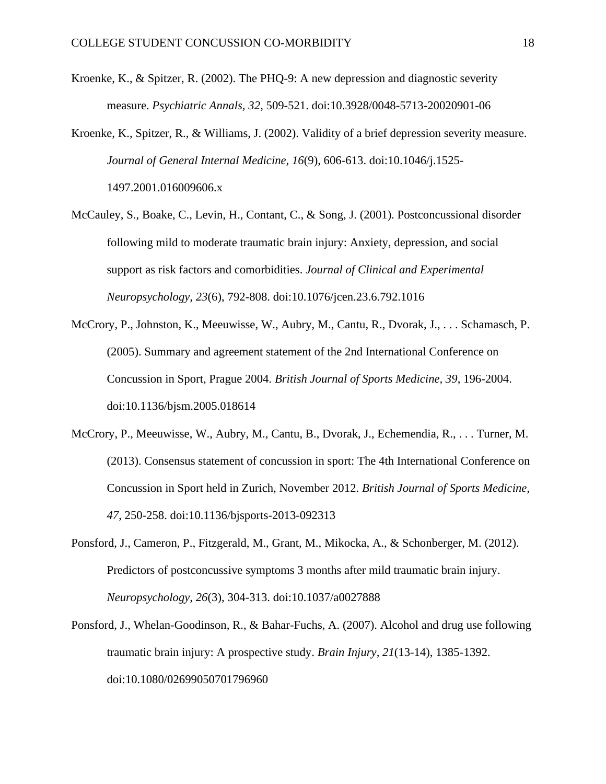- <span id="page-17-5"></span>Kroenke, K., & Spitzer, R. (2002). The PHQ-9: A new depression and diagnostic severity measure. *Psychiatric Annals, 32*, 509-521. doi:10.3928/0048-5713-20020901-06
- <span id="page-17-6"></span>Kroenke, K., Spitzer, R., & Williams, J. (2002). Validity of a brief depression severity measure. *Journal of General Internal Medicine, 16*(9), 606-613. doi:10.1046/j.1525- 1497.2001.016009606.x
- <span id="page-17-2"></span>McCauley, S., Boake, C., Levin, H., Contant, C., & Song, J. (2001). Postconcussional disorder following mild to moderate traumatic brain injury: Anxiety, depression, and social support as risk factors and comorbidities. *Journal of Clinical and Experimental Neuropsychology, 23*(6), 792-808. doi:10.1076/jcen.23.6.792.1016
- <span id="page-17-1"></span>McCrory, P., Johnston, K., Meeuwisse, W., Aubry, M., Cantu, R., Dvorak, J., . . . Schamasch, P. (2005). Summary and agreement statement of the 2nd International Conference on Concussion in Sport, Prague 2004. *British Journal of Sports Medicine, 39*, 196-2004. doi:10.1136/bjsm.2005.018614
- <span id="page-17-0"></span>McCrory, P., Meeuwisse, W., Aubry, M., Cantu, B., Dvorak, J., Echemendia, R., . . . Turner, M. (2013). Consensus statement of concussion in sport: The 4th International Conference on Concussion in Sport held in Zurich, November 2012. *British Journal of Sports Medicine, 47*, 250-258. doi:10.1136/bjsports-2013-092313
- <span id="page-17-3"></span>Ponsford, J., Cameron, P., Fitzgerald, M., Grant, M., Mikocka, A., & Schonberger, M. (2012). Predictors of postconcussive symptoms 3 months after mild traumatic brain injury. *Neuropsychology, 26*(3), 304-313. doi:10.1037/a0027888
- <span id="page-17-4"></span>Ponsford, J., Whelan-Goodinson, R., & Bahar-Fuchs, A. (2007). Alcohol and drug use following traumatic brain injury: A prospective study. *Brain Injury, 21*(13-14), 1385-1392. doi:10.1080/02699050701796960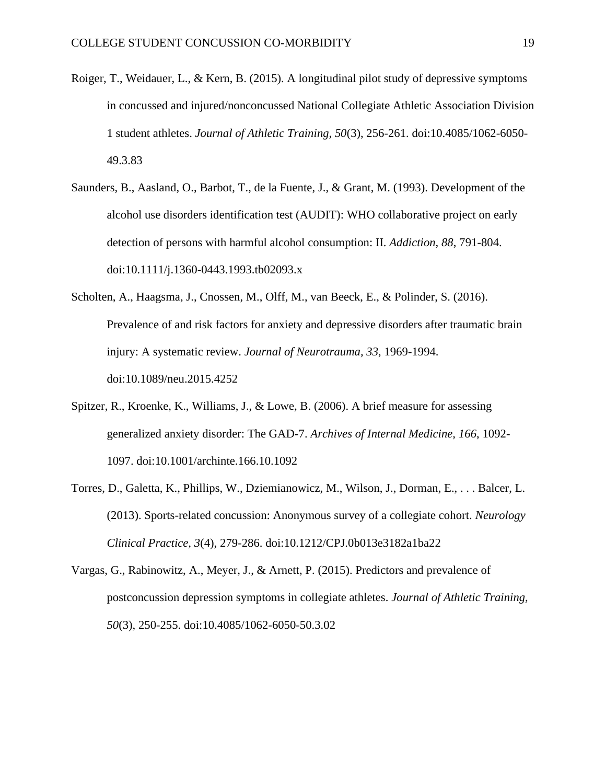- <span id="page-18-1"></span>Roiger, T., Weidauer, L., & Kern, B. (2015). A longitudinal pilot study of depressive symptoms in concussed and injured/nonconcussed National Collegiate Athletic Association Division 1 student athletes. *Journal of Athletic Training, 50*(3), 256-261. doi:10.4085/1062-6050- 49.3.83
- <span id="page-18-4"></span>Saunders, B., Aasland, O., Barbot, T., de la Fuente, J., & Grant, M. (1993). Development of the alcohol use disorders identification test (AUDIT): WHO collaborative project on early detection of persons with harmful alcohol consumption: II. *Addiction, 88*, 791-804. doi:10.1111/j.1360-0443.1993.tb02093.x
- <span id="page-18-0"></span>Scholten, A., Haagsma, J., Cnossen, M., Olff, M., van Beeck, E., & Polinder, S. (2016). Prevalence of and risk factors for anxiety and depressive disorders after traumatic brain injury: A systematic review. *Journal of Neurotrauma, 33*, 1969-1994. doi:10.1089/neu.2015.4252
- <span id="page-18-5"></span>Spitzer, R., Kroenke, K., Williams, J., & Lowe, B. (2006). A brief measure for assessing generalized anxiety disorder: The GAD-7. *Archives of Internal Medicine, 166*, 1092- 1097. doi:10.1001/archinte.166.10.1092
- <span id="page-18-3"></span>Torres, D., Galetta, K., Phillips, W., Dziemianowicz, M., Wilson, J., Dorman, E., . . . Balcer, L. (2013). Sports-related concussion: Anonymous survey of a collegiate cohort. *Neurology Clinical Practice, 3*(4), 279-286. doi:10.1212/CPJ.0b013e3182a1ba22
- <span id="page-18-2"></span>Vargas, G., Rabinowitz, A., Meyer, J., & Arnett, P. (2015). Predictors and prevalence of postconcussion depression symptoms in collegiate athletes. *Journal of Athletic Training, 50*(3), 250-255. doi:10.4085/1062-6050-50.3.02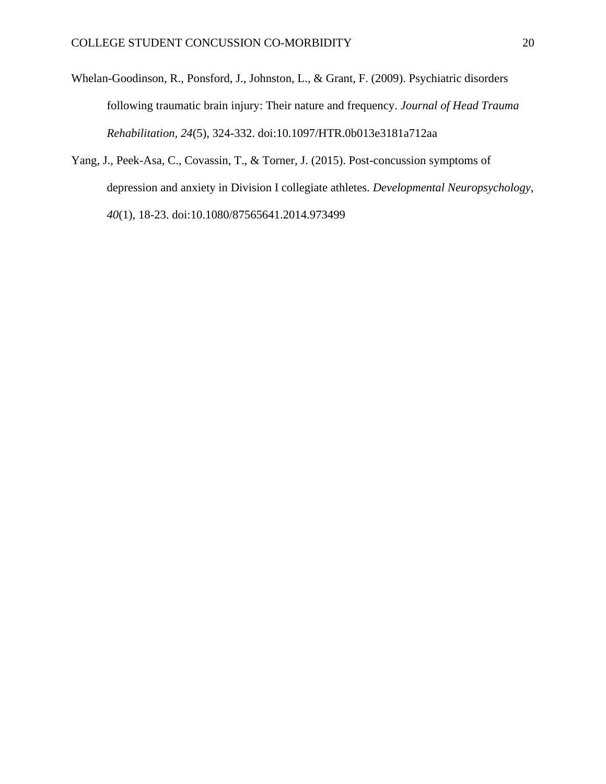- <span id="page-19-0"></span>Whelan-Goodinson, R., Ponsford, J., Johnston, L., & Grant, F. (2009). Psychiatric disorders following traumatic brain injury: Their nature and frequency. *Journal of Head Trauma Rehabilitation, 24*(5), 324-332. doi:10.1097/HTR.0b013e3181a712aa
- <span id="page-19-1"></span>Yang, J., Peek-Asa, C., Covassin, T., & Torner, J. (2015). Post-concussion symptoms of depression and anxiety in Division I collegiate athletes. *Developmental Neuropsychology, 40*(1), 18-23. doi:10.1080/87565641.2014.973499